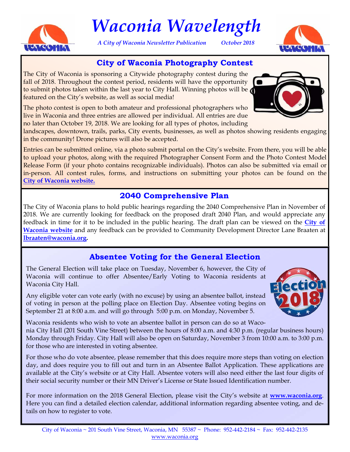

# *Waconia Wavelength*

*A City of Waconia Newsletter Publication October 2018* 



## **City of Waconia Photography Contest**

The City of Waconia is sponsoring a Citywide photography contest during the fall of 2018. Throughout the contest period, residents will have the opportunity to submit photos taken within the last year to City Hall. Winning photos will be featured on the City's website, as well as social media!

The photo contest is open to both amateur and professional photographers who live in Waconia and three entries are allowed per individual. All entries are due no later than October 19, 2018. We are looking for all types of photos, including

landscapes, downtown, trails, parks, City events, businesses, as well as photos showing residents engaging in the community! Drone pictures will also be accepted.

Entries can be submitted online, via a photo submit portal on the City's website. From there, you will be able to upload your photos, along with the required Photographer Consent Form and the Photo Contest Model Release Form (if your photo contains recognizable individuals). Photos can also be submitted via email or in-person. All contest rules, forms, and instructions on submitting your photos can be found on the **[City of Waconia website.](http://waconia.org/463/Photography-Contest)** 

## **2040 Comprehensive Plan**

The City of Waconia plans to hold public hearings regarding the 2040 Comprehensive Plan in November of 2018. We are currently looking for feedback on the proposed draft 2040 Plan, and would appreciate any feedback in time for it to be included in the public hearing. The draft plan can be viewed on the **[City of](https://mn-waconia.civicplus.com/450/2040-Comprehensive-Plan)  [Waconia website](https://mn-waconia.civicplus.com/450/2040-Comprehensive-Plan)** and any feedback can be provided to Community Development Director Lane Braaten at **[lbraaten@waconia.org.](mailto: lbraaten@waconia.org)** 

# **Absentee Voting for the General Election**

The General Election will take place on Tuesday, November 6, however, the City of Waconia will continue to offer Absentee/Early Voting to Waconia residents at Waconia City Hall.

Any eligible voter can vote early (with no excuse) by using an absentee ballot, instead of voting in person at the polling place on Election Day. Absentee voting begins on September 21 at 8:00 a.m. and will go through 5:00 p.m. on Monday, November 5.



Waconia residents who wish to vote an absentee ballot in person can do so at Waconia City Hall (201 South Vine Street) between the hours of 8:00 a.m. and 4:30 p.m. (regular business hours) Monday through Friday. City Hall will also be open on Saturday, November 3 from 10:00 a.m. to 3:00 p.m. for those who are interested in voting absentee.

For those who do vote absentee, please remember that this does require more steps than voting on election day, and does require you to fill out and turn in an Absentee Ballot Application. These applications are available at the City's website or at City Hall. Absentee voters will also need either the last four digits of their social security number or their MN Driver's License or State Issued Identification number.

For more information on the 2018 General Election, please visit the City's website at **[www.waconia.org](https://www.waconia.org/166/Elections-Voting)**. Here you can find a detailed election calendar, additional information regarding absentee voting, and details on how to register to vote.